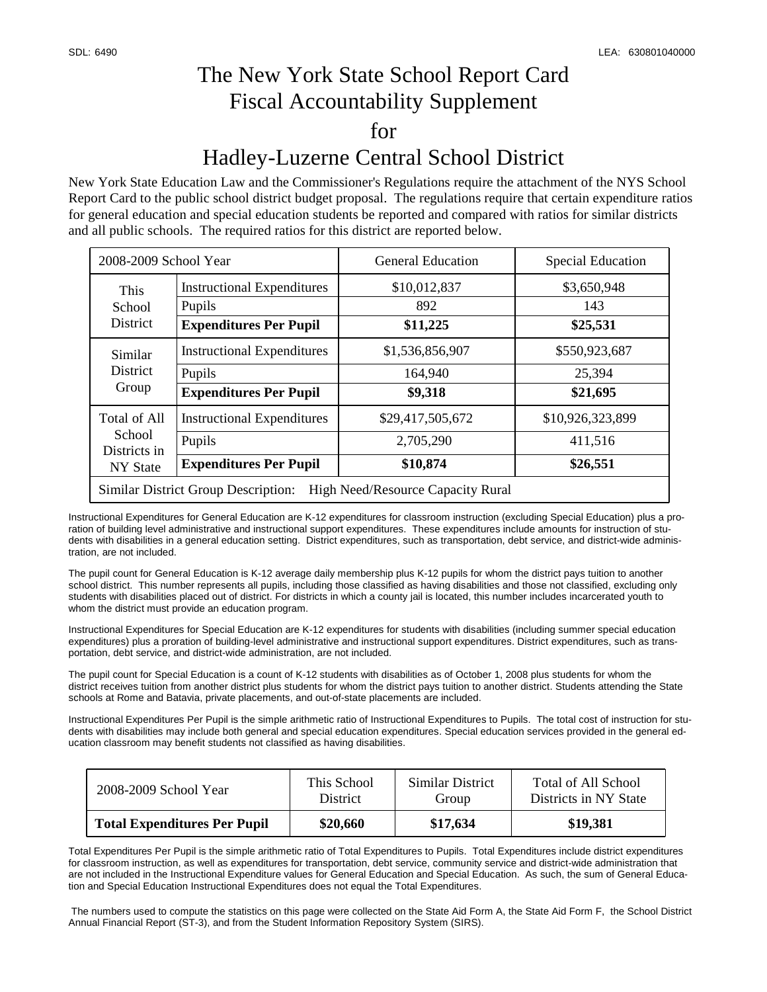## The New York State School Report Card Fiscal Accountability Supplement for Hadley-Luzerne Central School District

New York State Education Law and the Commissioner's Regulations require the attachment of the NYS School Report Card to the public school district budget proposal. The regulations require that certain expenditure ratios for general education and special education students be reported and compared with ratios for similar districts and all public schools. The required ratios for this district are reported below.

| 2008-2009 School Year                                                           |                                                                              | <b>General Education</b>                  | <b>Special Education</b>                |  |  |  |
|---------------------------------------------------------------------------------|------------------------------------------------------------------------------|-------------------------------------------|-----------------------------------------|--|--|--|
| This<br>School<br><b>District</b>                                               | <b>Instructional Expenditures</b><br>Pupils<br><b>Expenditures Per Pupil</b> | \$10,012,837<br>892<br>\$11,225           | \$3,650,948<br>143<br>\$25,531          |  |  |  |
| Similar<br><b>District</b><br>Group                                             | <b>Instructional Expenditures</b><br>Pupils<br><b>Expenditures Per Pupil</b> | \$1,536,856,907<br>164,940<br>\$9,318     | \$550,923,687<br>25,394<br>\$21,695     |  |  |  |
| <b>Total of All</b><br>School<br>Districts in<br>NY State                       | <b>Instructional Expenditures</b><br>Pupils<br><b>Expenditures Per Pupil</b> | \$29,417,505,672<br>2,705,290<br>\$10,874 | \$10,926,323,899<br>411,516<br>\$26,551 |  |  |  |
| <b>Similar District Group Description:</b><br>High Need/Resource Capacity Rural |                                                                              |                                           |                                         |  |  |  |

Instructional Expenditures for General Education are K-12 expenditures for classroom instruction (excluding Special Education) plus a proration of building level administrative and instructional support expenditures. These expenditures include amounts for instruction of students with disabilities in a general education setting. District expenditures, such as transportation, debt service, and district-wide administration, are not included.

The pupil count for General Education is K-12 average daily membership plus K-12 pupils for whom the district pays tuition to another school district. This number represents all pupils, including those classified as having disabilities and those not classified, excluding only students with disabilities placed out of district. For districts in which a county jail is located, this number includes incarcerated youth to whom the district must provide an education program.

Instructional Expenditures for Special Education are K-12 expenditures for students with disabilities (including summer special education expenditures) plus a proration of building-level administrative and instructional support expenditures. District expenditures, such as transportation, debt service, and district-wide administration, are not included.

The pupil count for Special Education is a count of K-12 students with disabilities as of October 1, 2008 plus students for whom the district receives tuition from another district plus students for whom the district pays tuition to another district. Students attending the State schools at Rome and Batavia, private placements, and out-of-state placements are included.

Instructional Expenditures Per Pupil is the simple arithmetic ratio of Instructional Expenditures to Pupils. The total cost of instruction for students with disabilities may include both general and special education expenditures. Special education services provided in the general education classroom may benefit students not classified as having disabilities.

| 2008-2009 School Year               | This School     | Similar District | Total of All School   |
|-------------------------------------|-----------------|------------------|-----------------------|
|                                     | <b>District</b> | Group            | Districts in NY State |
| <b>Total Expenditures Per Pupil</b> | \$20,660        | \$17,634         | \$19,381              |

Total Expenditures Per Pupil is the simple arithmetic ratio of Total Expenditures to Pupils. Total Expenditures include district expenditures for classroom instruction, as well as expenditures for transportation, debt service, community service and district-wide administration that are not included in the Instructional Expenditure values for General Education and Special Education. As such, the sum of General Education and Special Education Instructional Expenditures does not equal the Total Expenditures.

 The numbers used to compute the statistics on this page were collected on the State Aid Form A, the State Aid Form F, the School District Annual Financial Report (ST-3), and from the Student Information Repository System (SIRS).